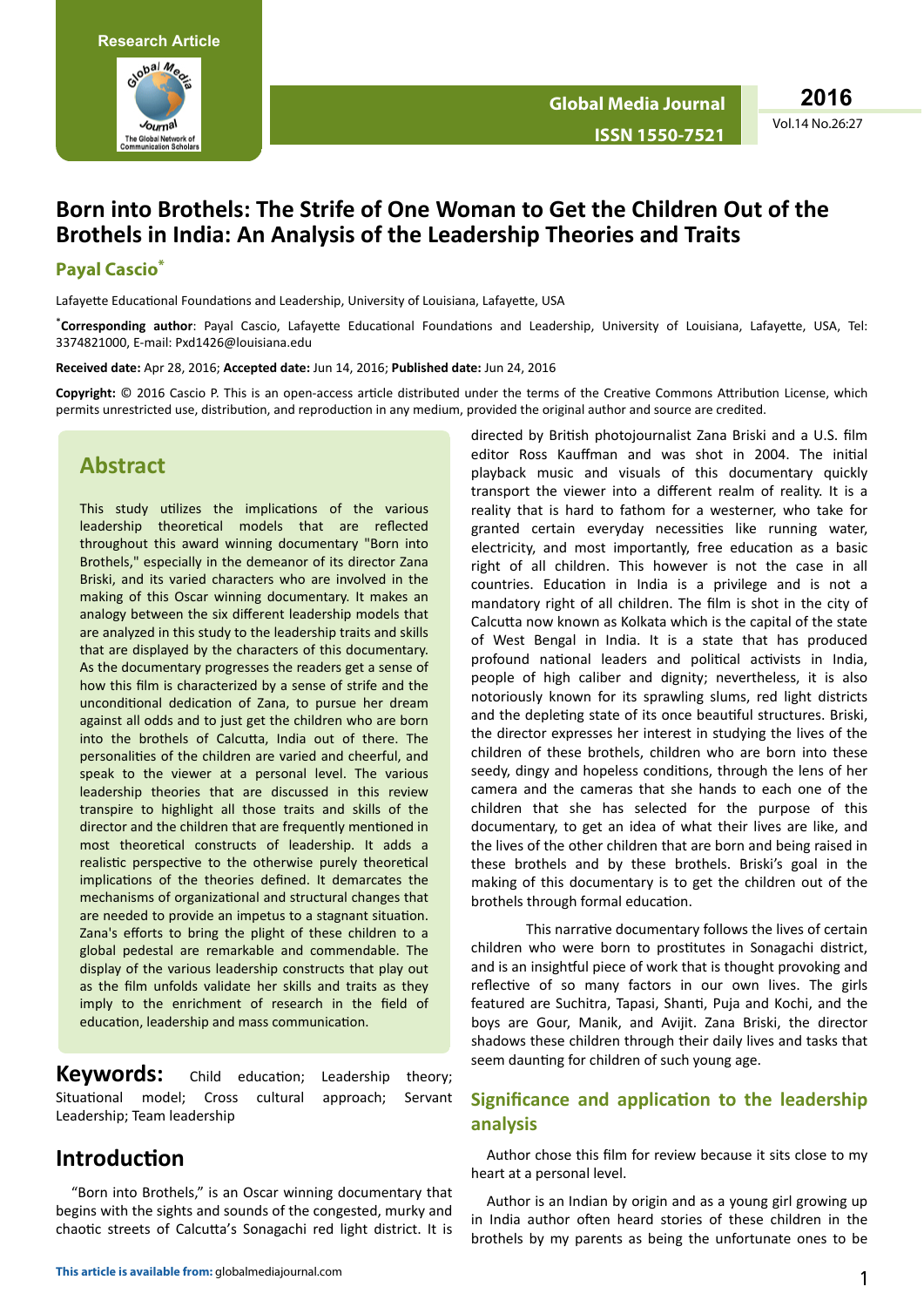

Vol.14 No.26:27 **2016**

# **Born into Brothels: The Strife of One Woman to Get the Children Out of the Brothels in India: An Analysis of the Leadership Theories and Traits**

#### **Payal Cascio\***

Lafayette Educational Foundations and Leadership, University of Louisiana, Lafayette, USA

\*Corresponding author: Payal Cascio, Lafayette Educational Foundations and Leadership, University of Louisiana, Lafayette, USA, Tel: 3374821000, E-mail: [Pxd1426@louisiana.edu](file:///C:/Users/keerthana-m/AppData/Local/Temp/Pxd1426@louisiana.edu)

**Received date:** Apr 28, 2016; **Accepted date:** Jun 14, 2016; **Published date:** Jun 24, 2016

Copyright: © 2016 Cascio P. This is an open-access article distributed under the terms of the Creative Commons Attribution License, which permits unrestricted use, distribution, and reproduction in any medium, provided the original author and source are credited.

## **Abstract**

This study utilizes the implications of the various leadership theoretical models that are reflected throughout this award winning documentary "Born into Brothels," especially in the demeanor of its director Zana Briski, and its varied characters who are involved in the making of this Oscar winning documentary. It makes an analogy between the six different leadership models that are analyzed in this study to the leadership traits and skills that are displayed by the characters of this documentary. As the documentary progresses the readers get a sense of how this film is characterized by a sense of strife and the unconditional dedication of Zana, to pursue her dream against all odds and to just get the children who are born into the brothels of Calcutta, India out of there. The personalities of the children are varied and cheerful, and speak to the viewer at a personal level. The various leadership theories that are discussed in this review transpire to highlight all those traits and skills of the director and the children that are frequently mentioned in most theoretical constructs of leadership. It adds a realistic perspective to the otherwise purely theoretical implications of the theories defined. It demarcates the mechanisms of organizational and structural changes that are needed to provide an impetus to a stagnant situation. Zana's efforts to bring the plight of these children to a global pedestal are remarkable and commendable. The display of the various leadership constructs that play out as the film unfolds validate her skills and traits as they imply to the enrichment of research in the field of education, leadership and mass communication.

**Keywords:** Child education; Leadership theory; Situational model; Cross cultural approach; Servant Leadership; Team leadership

# **Introduction**

"Born into Brothels," is an Oscar winning documentary that begins with the sights and sounds of the congested, murky and chaotic streets of Calcutta's Sonagachi red light district. It is

**This article is available from:** globalmediajournal.com 1

directed by British photojournalist Zana Briski and a U.S. film editor Ross Kauffman and was shot in 2004. The initial playback music and visuals of this documentary quickly transport the viewer into a different realm of reality. It is a reality that is hard to fathom for a westerner, who take for granted certain everyday necessities like running water, electricity, and most importantly, free education as a basic right of all children. This however is not the case in all countries. Education in India is a privilege and is not a mandatory right of all children. The film is shot in the city of Calcutta now known as Kolkata which is the capital of the state of West Bengal in India. It is a state that has produced profound national leaders and political activists in India, people of high caliber and dignity; nevertheless, it is also notoriously known for its sprawling slums, red light districts and the depleting state of its once beautiful structures. Briski, the director expresses her interest in studying the lives of the children of these brothels, children who are born into these seedy, dingy and hopeless conditions, through the lens of her camera and the cameras that she hands to each one of the children that she has selected for the purpose of this documentary, to get an idea of what their lives are like, and the lives of the other children that are born and being raised in these brothels and by these brothels. Briski's goal in the making of this documentary is to get the children out of the brothels through formal education.

This narrative documentary follows the lives of certain children who were born to prostitutes in Sonagachi district, and is an insightful piece of work that is thought provoking and reflective of so many factors in our own lives. The girls featured are Suchitra, Tapasi, Shanti, Puja and Kochi, and the boys are Gour, Manik, and Avijit. Zana Briski, the director shadows these children through their daily lives and tasks that seem daunting for children of such young age.

### **Significance and application to the leadership analysis**

Author chose this film for review because it sits close to my heart at a personal level.

Author is an Indian by origin and as a young girl growing up in India author often heard stories of these children in the brothels by my parents as being the unfortunate ones to be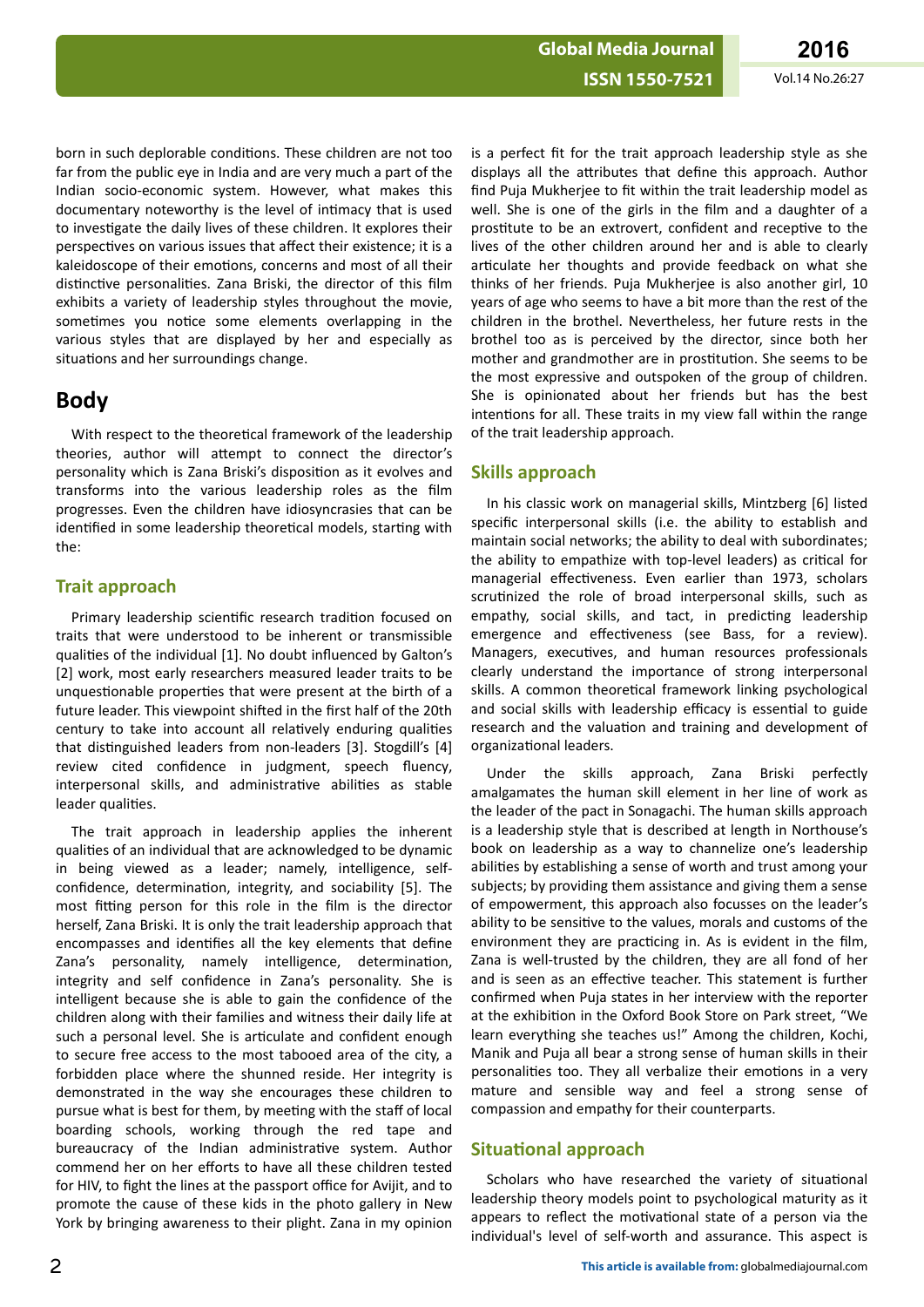#### **ISSN 1550-7521** Vol.14 No.26:27

born in such deplorable conditions. These children are not too far from the public eye in India and are very much a part of the Indian socio-economic system. However, what makes this documentary noteworthy is the level of intimacy that is used to investigate the daily lives of these children. It explores their perspectives on various issues that affect their existence; it is a kaleidoscope of their emotions, concerns and most of all their distinctive personalities. Zana Briski, the director of this film exhibits a variety of leadership styles throughout the movie, sometimes you notice some elements overlapping in the various styles that are displayed by her and especially as situations and her surroundings change.

# **Body**

With respect to the theoretical framework of the leadership theories, author will attempt to connect the director's personality which is Zana Briski's disposition as it evolves and transforms into the various leadership roles as the film progresses. Even the children have idiosyncrasies that can be identified in some leadership theoretical models, starting with the:

## **Trait approach**

Primary leadership scientific research tradition focused on traits that were understood to be inherent or transmissible qualities of the individual [1]. No doubt influenced by Galton's [2] work, most early researchers measured leader traits to be unquestionable properties that were present at the birth of a future leader. This viewpoint shifted in the first half of the 20th century to take into account all relatively enduring qualities that distinguished leaders from non-leaders [3]. Stogdill's [4] review cited confidence in judgment, speech fluency, interpersonal skills, and administrative abilities as stable leader qualities.

The trait approach in leadership applies the inherent qualities of an individual that are acknowledged to be dynamic in being viewed as a leader; namely, intelligence, selfconfidence, determination, integrity, and sociability [5]. The most fitting person for this role in the film is the director herself, Zana Briski. It is only the trait leadership approach that encompasses and identifies all the key elements that define Zana's personality, namely intelligence, determination, integrity and self confidence in Zana's personality. She is intelligent because she is able to gain the confidence of the children along with their families and witness their daily life at such a personal level. She is articulate and confident enough to secure free access to the most tabooed area of the city, a forbidden place where the shunned reside. Her integrity is demonstrated in the way she encourages these children to pursue what is best for them, by meeting with the staff of local boarding schools, working through the red tape and bureaucracy of the Indian administrative system. Author commend her on her efforts to have all these children tested for HIV, to fight the lines at the passport office for Avijit, and to promote the cause of these kids in the photo gallery in New York by bringing awareness to their plight. Zana in my opinion

is a perfect fit for the trait approach leadership style as she displays all the attributes that define this approach. Author find Puja Mukherjee to fit within the trait leadership model as well. She is one of the girls in the film and a daughter of a prostitute to be an extrovert, confident and receptive to the lives of the other children around her and is able to clearly articulate her thoughts and provide feedback on what she thinks of her friends. Puja Mukherjee is also another girl, 10 years of age who seems to have a bit more than the rest of the children in the brothel. Nevertheless, her future rests in the brothel too as is perceived by the director, since both her mother and grandmother are in prostitution. She seems to be the most expressive and outspoken of the group of children. She is opinionated about her friends but has the best intentions for all. These traits in my view fall within the range of the trait leadership approach.

## **Skills approach**

In his classic work on managerial skills, Mintzberg [6] listed specific interpersonal skills (i.e. the ability to establish and maintain social networks; the ability to deal with subordinates; the ability to empathize with top-level leaders) as critical for managerial effectiveness. Even earlier than 1973, scholars scrutinized the role of broad interpersonal skills, such as empathy, social skills, and tact, in predicting leadership emergence and effectiveness (see Bass, for a review). Managers, executives, and human resources professionals clearly understand the importance of strong interpersonal skills. A common theoretical framework linking psychological and social skills with leadership efficacy is essential to guide research and the valuation and training and development of organizational leaders.

Under the skills approach, Zana Briski perfectly amalgamates the human skill element in her line of work as the leader of the pact in Sonagachi. The human skills approach is a leadership style that is described at length in Northouse's book on leadership as a way to channelize one's leadership abilities by establishing a sense of worth and trust among your subjects; by providing them assistance and giving them a sense of empowerment, this approach also focusses on the leader's ability to be sensitive to the values, morals and customs of the environment they are practicing in. As is evident in the film, Zana is well-trusted by the children, they are all fond of her and is seen as an effective teacher. This statement is further confirmed when Puja states in her interview with the reporter at the exhibition in the Oxford Book Store on Park street. "We learn everything she teaches us!" Among the children, Kochi, Manik and Puja all bear a strong sense of human skills in their personalities too. They all verbalize their emotions in a very mature and sensible way and feel a strong sense of compassion and empathy for their counterparts.

## **Situational approach**

Scholars who have researched the variety of situational leadership theory models point to psychological maturity as it appears to reflect the motivational state of a person via the individual's level of self-worth and assurance. This aspect is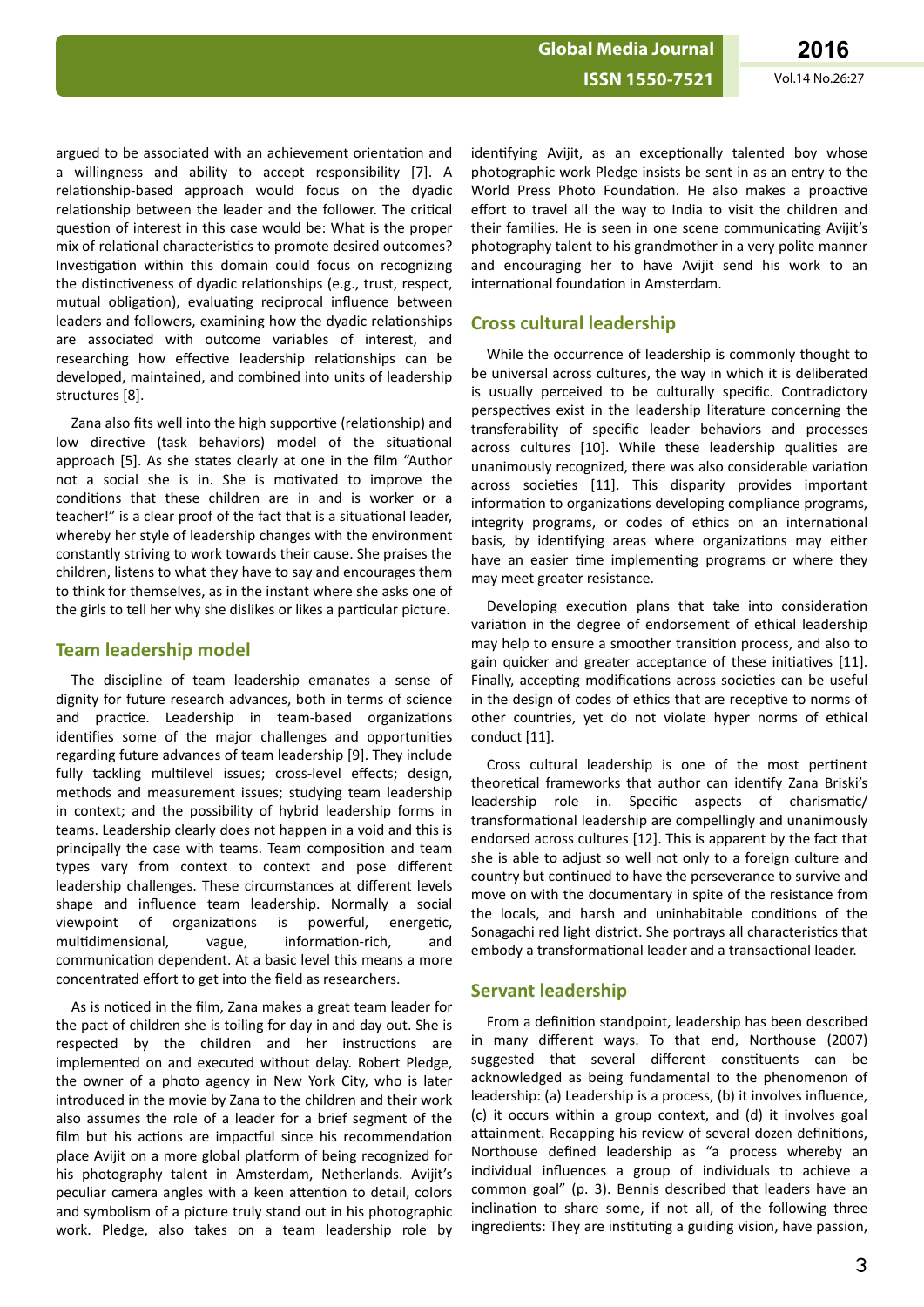argued to be associated with an achievement orientation and a willingness and ability to accept responsibility [7]. A relationship-based approach would focus on the dyadic relationship between the leader and the follower. The critical question of interest in this case would be: What is the proper mix of relational characteristics to promote desired outcomes? Investigation within this domain could focus on recognizing the distinctiveness of dyadic relationships (e.g., trust, respect, mutual obligation), evaluating reciprocal influence between leaders and followers, examining how the dyadic relationships are associated with outcome variables of interest, and researching how effective leadership relationships can be developed, maintained, and combined into units of leadership structures [8].

Zana also fits well into the high supportive (relationship) and low directive (task behaviors) model of the situational approach [5]. As she states clearly at one in the film "Author not a social she is in. She is motivated to improve the conditions that these children are in and is worker or a teacher!" is a clear proof of the fact that is a situational leader, whereby her style of leadership changes with the environment constantly striving to work towards their cause. She praises the children, listens to what they have to say and encourages them to think for themselves, as in the instant where she asks one of the girls to tell her why she dislikes or likes a particular picture.

#### **Team leadership model**

The discipline of team leadership emanates a sense of dignity for future research advances, both in terms of science and practice. Leadership in team-based organizations identifies some of the major challenges and opportunities regarding future advances of team leadership [9]. They include fully tackling multilevel issues; cross-level effects; design, methods and measurement issues; studying team leadership in context; and the possibility of hybrid leadership forms in teams. Leadership clearly does not happen in a void and this is principally the case with teams. Team composition and team types vary from context to context and pose different leadership challenges. These circumstances at different levels shape and influence team leadership. Normally a social viewpoint of organizations is powerful, energetic, multidimensional. vague, information-rich. and communication dependent. At a basic level this means a more concentrated effort to get into the field as researchers.

As is noticed in the film, Zana makes a great team leader for the pact of children she is toiling for day in and day out. She is respected by the children and her instructions are implemented on and executed without delay. Robert Pledge, the owner of a photo agency in New York City, who is later introduced in the movie by Zana to the children and their work also assumes the role of a leader for a brief segment of the film but his actions are impactful since his recommendation place Avijit on a more global platform of being recognized for his photography talent in Amsterdam, Netherlands. Avijit's peculiar camera angles with a keen attention to detail, colors and symbolism of a picture truly stand out in his photographic work. Pledge, also takes on a team leadership role by identifying Avijit, as an exceptionally talented boy whose photographic work Pledge insists be sent in as an entry to the World Press Photo Foundation. He also makes a proactive effort to travel all the way to India to visit the children and their families. He is seen in one scene communicating Avijit's photography talent to his grandmother in a very polite manner and encouraging her to have Avijit send his work to an international foundation in Amsterdam.

#### **Cross cultural leadership**

While the occurrence of leadership is commonly thought to be universal across cultures, the way in which it is deliberated is usually perceived to be culturally specific. Contradictory perspectives exist in the leadership literature concerning the transferability of specific leader behaviors and processes across cultures [10]. While these leadership qualities are unanimously recognized, there was also considerable variation across societies [11]. This disparity provides important information to organizations developing compliance programs, integrity programs, or codes of ethics on an international basis, by identifying areas where organizations may either have an easier time implementing programs or where they may meet greater resistance.

Developing execution plans that take into consideration variation in the degree of endorsement of ethical leadership may help to ensure a smoother transition process, and also to gain quicker and greater acceptance of these initiatives [11]. Finally, accepting modifications across societies can be useful in the design of codes of ethics that are receptive to norms of other countries, yet do not violate hyper norms of ethical conduct [11].

Cross cultural leadership is one of the most pertinent theoretical frameworks that author can identify Zana Briski's leadership role in. Specific aspects of charismatic/ transformational leadership are compellingly and unanimously endorsed across cultures [12]. This is apparent by the fact that she is able to adjust so well not only to a foreign culture and country but continued to have the perseverance to survive and move on with the documentary in spite of the resistance from the locals, and harsh and uninhabitable conditions of the Sonagachi red light district. She portrays all characteristics that embody a transformational leader and a transactional leader.

#### **Servant leadership**

From a definition standpoint, leadership has been described in many different ways. To that end, Northouse (2007) suggested that several different constituents can be acknowledged as being fundamental to the phenomenon of leadership: (a) Leadership is a process, (b) it involves influence, (c) it occurs within a group context, and (d) it involves goal attainment. Recapping his review of several dozen definitions, Northouse defined leadership as "a process whereby an individual influences a group of individuals to achieve a common goal" (p. 3). Bennis described that leaders have an inclination to share some, if not all, of the following three ingredients: They are instituting a guiding vision, have passion,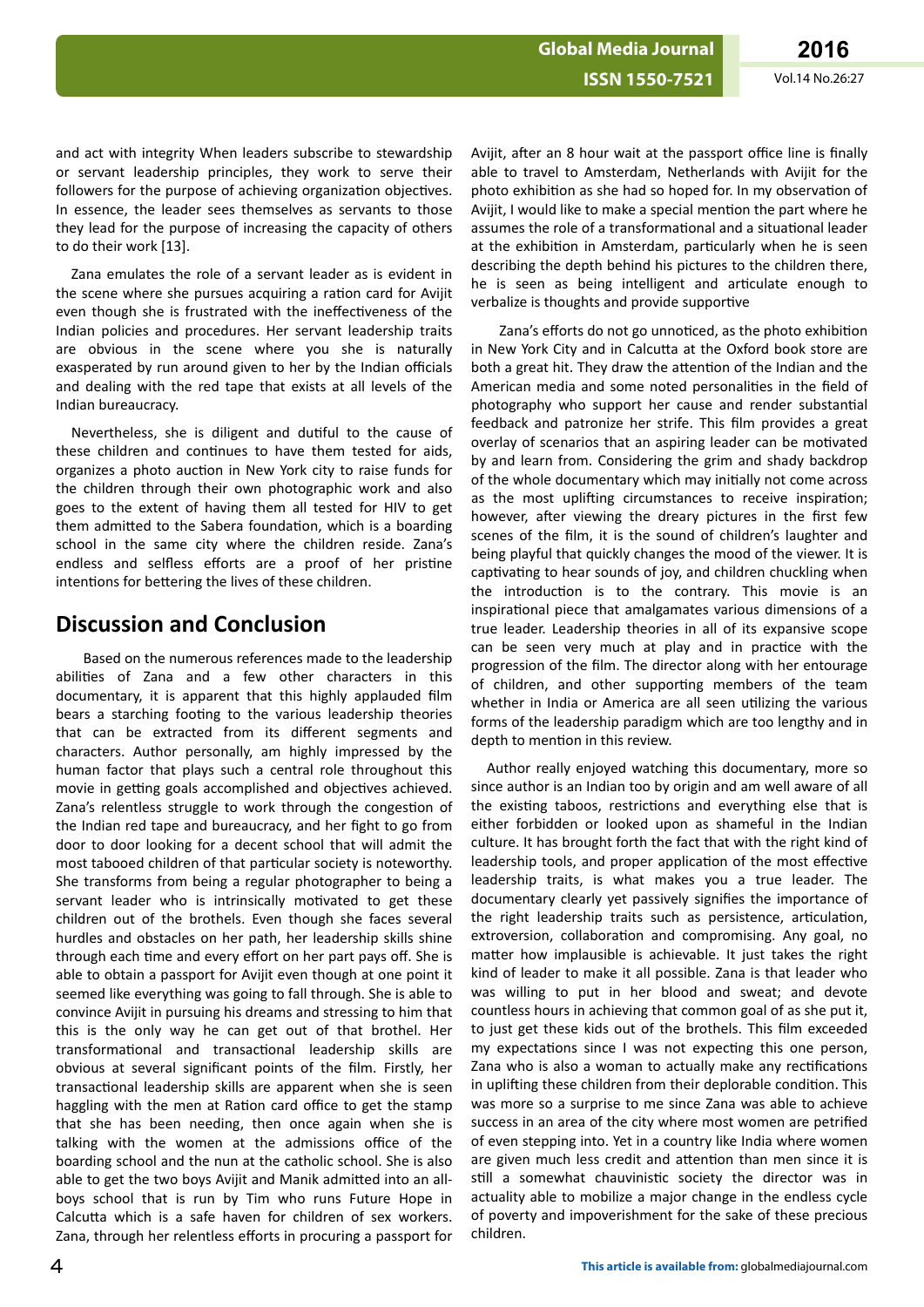and act with integrity When leaders subscribe to stewardship or servant leadership principles, they work to serve their followers for the purpose of achieving organization objectives. In essence, the leader sees themselves as servants to those they lead for the purpose of increasing the capacity of others to do their work [13].

Zana emulates the role of a servant leader as is evident in the scene where she pursues acquiring a ration card for Avijit even though she is frustrated with the ineffectiveness of the Indian policies and procedures. Her servant leadership traits are obvious in the scene where you she is naturally exasperated by run around given to her by the Indian officials and dealing with the red tape that exists at all levels of the Indian bureaucracy.

Nevertheless, she is diligent and dutiful to the cause of these children and continues to have them tested for aids, organizes a photo auction in New York city to raise funds for the children through their own photographic work and also goes to the extent of having them all tested for HIV to get them admitted to the Sabera foundation, which is a boarding school in the same city where the children reside. Zana's endless and selfless efforts are a proof of her pristine intentions for bettering the lives of these children.

# **Discussion and Conclusion**

Based on the numerous references made to the leadership abilities of Zana and a few other characters in this documentary, it is apparent that this highly applauded film bears a starching footing to the various leadership theories that can be extracted from its different segments and characters. Author personally, am highly impressed by the human factor that plays such a central role throughout this movie in getting goals accomplished and objectives achieved. Zana's relentless struggle to work through the congestion of the Indian red tape and bureaucracy, and her fight to go from door to door looking for a decent school that will admit the most tabooed children of that particular society is noteworthy. She transforms from being a regular photographer to being a servant leader who is intrinsically motivated to get these children out of the brothels. Even though she faces several hurdles and obstacles on her path, her leadership skills shine through each time and every effort on her part pays off. She is able to obtain a passport for Avijit even though at one point it seemed like everything was going to fall through. She is able to convince Avijit in pursuing his dreams and stressing to him that this is the only way he can get out of that brothel. Her transformational and transactional leadership skills are obvious at several significant points of the film. Firstly, her transactional leadership skills are apparent when she is seen haggling with the men at Ration card office to get the stamp that she has been needing, then once again when she is talking with the women at the admissions office of the boarding school and the nun at the catholic school. She is also able to get the two boys Avijit and Manik admitted into an allboys school that is run by Tim who runs Future Hope in Calcutta which is a safe haven for children of sex workers. Zana, through her relentless efforts in procuring a passport for

Avijit, after an 8 hour wait at the passport office line is finally able to travel to Amsterdam, Netherlands with Avijit for the photo exhibition as she had so hoped for. In my observation of Avijit, I would like to make a special mention the part where he assumes the role of a transformational and a situational leader at the exhibition in Amsterdam, particularly when he is seen describing the depth behind his pictures to the children there, he is seen as being intelligent and articulate enough to verbalize is thoughts and provide supportive

Zana's efforts do not go unnoticed, as the photo exhibition in New York City and in Calcutta at the Oxford book store are both a great hit. They draw the attention of the Indian and the American media and some noted personalities in the field of photography who support her cause and render substantial feedback and patronize her strife. This film provides a great overlay of scenarios that an aspiring leader can be motivated by and learn from. Considering the grim and shady backdrop of the whole documentary which may initially not come across as the most uplifting circumstances to receive inspiration; however, after viewing the dreary pictures in the first few scenes of the film, it is the sound of children's laughter and being playful that quickly changes the mood of the viewer. It is captivating to hear sounds of joy, and children chuckling when the introduction is to the contrary. This movie is an inspirational piece that amalgamates various dimensions of a true leader. Leadership theories in all of its expansive scope can be seen very much at play and in practice with the progression of the film. The director along with her entourage of children, and other supporting members of the team whether in India or America are all seen utilizing the various forms of the leadership paradigm which are too lengthy and in depth to mention in this review.

Author really enjoyed watching this documentary, more so since author is an Indian too by origin and am well aware of all the existing taboos, restrictions and everything else that is either forbidden or looked upon as shameful in the Indian culture. It has brought forth the fact that with the right kind of leadership tools, and proper application of the most effective leadership traits, is what makes you a true leader. The documentary clearly yet passively signifies the importance of the right leadership traits such as persistence, articulation, extroversion, collaboration and compromising. Any goal, no matter how implausible is achievable. It just takes the right kind of leader to make it all possible. Zana is that leader who was willing to put in her blood and sweat; and devote countless hours in achieving that common goal of as she put it, to just get these kids out of the brothels. This film exceeded my expectations since I was not expecting this one person, Zana who is also a woman to actually make any rectifications in uplifting these children from their deplorable condition. This was more so a surprise to me since Zana was able to achieve success in an area of the city where most women are petrified of even stepping into. Yet in a country like India where women are given much less credit and attention than men since it is still a somewhat chauvinistic society the director was in actuality able to mobilize a major change in the endless cycle of poverty and impoverishment for the sake of these precious children.